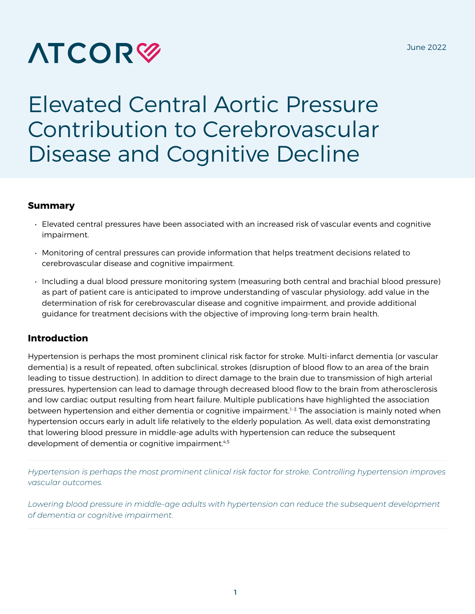# **ATCOR<sup>®</sup>**

# Elevated Central Aortic Pressure Contribution to Cerebrovascular Disease and Cognitive Decline

#### **Summary**

- Elevated central pressures have been associated with an increased risk of vascular events and cognitive impairment.
- Monitoring of central pressures can provide information that helps treatment decisions related to cerebrovascular disease and cognitive impairment.
- Including a dual blood pressure monitoring system (measuring both central and brachial blood pressure) as part of patient care is anticipated to improve understanding of vascular physiology, add value in the determination of risk for cerebrovascular disease and cognitive impairment, and provide additional guidance for treatment decisions with the objective of improving long-term brain health.

## **Introduction**

Hypertension is perhaps the most prominent clinical risk factor for stroke. Multi-infarct dementia (or vascular dementia) is a result of repeated, often subclinical, strokes (disruption of blood flow to an area of the brain leading to tissue destruction). In addition to direct damage to the brain due to transmission of high arterial pressures, hypertension can lead to damage through decreased blood flow to the brain from atherosclerosis and low cardiac output resulting from heart failure. Multiple publications have highlighted the association between hypertension and either dementia or cognitive impairment.<sup>1-3</sup> The association is mainly noted when hypertension occurs early in adult life relatively to the elderly population. As well, data exist demonstrating that lowering blood pressure in middle-age adults with hypertension can reduce the subsequent development of dementia or cognitive impairment.<sup>4,5</sup>

*Hypertension is perhaps the most prominent clinical risk factor for stroke. Controlling hypertension improves vascular outcomes.*

Lowering blood pressure in middle-age adults with hypertension can reduce the subsequent development *of dementia or cognitive impairment.*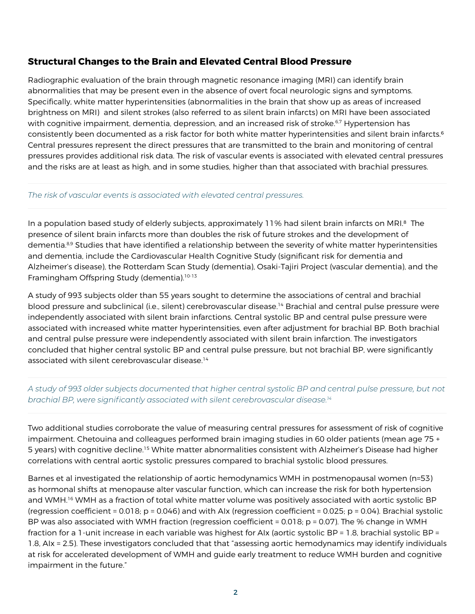#### **Structural Changes to the Brain and Elevated Central Blood Pressure**

Radiographic evaluation of the brain through magnetic resonance imaging (MRI) can identify brain abnormalities that may be present even in the absence of overt focal neurologic signs and symptoms. Specifically, white matter hyperintensities (abnormalities in the brain that show up as areas of increased brightness on MRI) and silent strokes (also referred to as silent brain infarcts) on MRI have been associated with cognitive impairment, dementia, depression, and an increased risk of stroke.<sup>6,7</sup> Hypertension has consistently been documented as a risk factor for both white matter hyperintensities and silent brain infarcts.6 Central pressures represent the direct pressures that are transmitted to the brain and monitoring of central pressures provides additional risk data. The risk of vascular events is associated with elevated central pressures and the risks are at least as high, and in some studies, higher than that associated with brachial pressures.

#### *The risk of vascular events is associated with elevated central pressures.*

In a population based study of elderly subjects, approximately 11% had silent brain infarcts on MRI.<sup>8</sup> The presence of silent brain infarcts more than doubles the risk of future strokes and the development of dementia.8,9 Studies that have identified a relationship between the severity of white matter hyperintensities and dementia, include the Cardiovascular Health Cognitive Study (significant risk for dementia and Alzheimer's disease), the Rotterdam Scan Study (dementia), Osaki-Tajiri Project (vascular dementia), and the Framingham Offspring Study (dementia).<sup>10-13</sup>

A study of 993 subjects older than 55 years sought to determine the associations of central and brachial blood pressure and subclinical (i.e., silent) cerebrovascular disease.14 Brachial and central pulse pressure were independently associated with silent brain infarctions. Central systolic BP and central pulse pressure were associated with increased white matter hyperintensities, even after adjustment for brachial BP. Both brachial and central pulse pressure were independently associated with silent brain infarction. The investigators concluded that higher central systolic BP and central pulse pressure, but not brachial BP, were significantly associated with silent cerebrovascular disease.14

#### *A study of 993 older subjects documented that higher central systolic BP and central pulse pressure, but not brachial BP, were significantly associated with silent cerebrovascular disease.14*

Two additional studies corroborate the value of measuring central pressures for assessment of risk of cognitive impairment. Chetouina and colleagues performed brain imaging studies in 60 older patients (mean age 75 + 5 years) with cognitive decline.15 White matter abnormalities consistent with Alzheimer's Disease had higher correlations with central aortic systolic pressures compared to brachial systolic blood pressures.

Barnes et al investigated the relationship of aortic hemodynamics WMH in postmenopausal women (n=53) as hormonal shifts at menopause alter vascular function, which can increase the risk for both hypertension and WMH.<sup>16</sup> WMH as a fraction of total white matter volume was positively associated with aortic systolic BP (regression coefficient = 0.018; p = 0.046) and with AIx (regression coefficient = 0.025; p = 0.04). Brachial systolic BP was also associated with WMH fraction (regression coefficient = 0.018; p = 0.07). The % change in WMH fraction for a 1-unit increase in each variable was highest for AIx (aortic systolic BP = 1.8, brachial systolic BP = 1.8, AIx = 2.5). These investigators concluded that that "assessing aortic hemodynamics may identify individuals at risk for accelerated development of WMH and guide early treatment to reduce WMH burden and cognitive impairment in the future."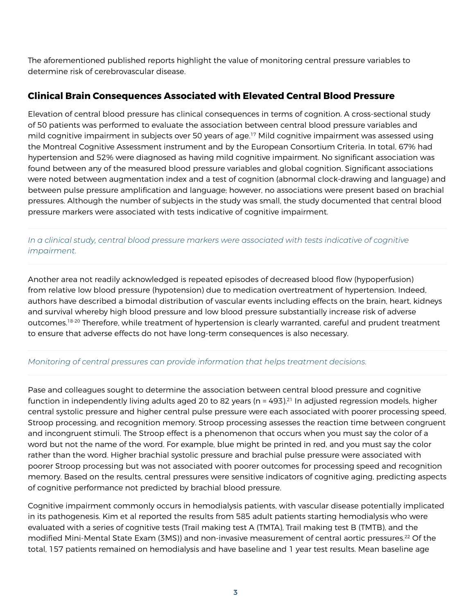The aforementioned published reports highlight the value of monitoring central pressure variables to determine risk of cerebrovascular disease.

# **Clinical Brain Consequences Associated with Elevated Central Blood Pressure**

Elevation of central blood pressure has clinical consequences in terms of cognition. A cross-sectional study of 50 patients was performed to evaluate the association between central blood pressure variables and mild cognitive impairment in subjects over 50 years of age.<sup>17</sup> Mild cognitive impairment was assessed using the Montreal Cognitive Assessment instrument and by the European Consortium Criteria. In total, 67% had hypertension and 52% were diagnosed as having mild cognitive impairment. No significant association was found between any of the measured blood pressure variables and global cognition. Significant associations were noted between augmentation index and a test of cognition (abnormal clock-drawing and language) and between pulse pressure amplification and language; however, no associations were present based on brachial pressures. Although the number of subjects in the study was small, the study documented that central blood pressure markers were associated with tests indicative of cognitive impairment.

#### *In a clinical study, central blood pressure markers were associated with tests indicative of cognitive impairment.*

Another area not readily acknowledged is repeated episodes of decreased blood flow (hypoperfusion) from relative low blood pressure (hypotension) due to medication overtreatment of hypertension. Indeed, authors have described a bimodal distribution of vascular events including effects on the brain, heart, kidneys and survival whereby high blood pressure and low blood pressure substantially increase risk of adverse outcomes.18-20 Therefore, while treatment of hypertension is clearly warranted, careful and prudent treatment to ensure that adverse effects do not have long-term consequences is also necessary.

#### *Monitoring of central pressures can provide information that helps treatment decisions.*

Pase and colleagues sought to determine the association between central blood pressure and cognitive function in independently living adults aged 20 to 82 years ( $n = 493$ ).<sup>21</sup> In adjusted regression models, higher central systolic pressure and higher central pulse pressure were each associated with poorer processing speed, Stroop processing, and recognition memory. Stroop processing assesses the reaction time between congruent and incongruent stimuli. The Stroop effect is a phenomenon that occurs when you must say the color of a word but not the name of the word. For example, blue might be printed in red, and you must say the color rather than the word. Higher brachial systolic pressure and brachial pulse pressure were associated with poorer Stroop processing but was not associated with poorer outcomes for processing speed and recognition memory. Based on the results, central pressures were sensitive indicators of cognitive aging, predicting aspects of cognitive performance not predicted by brachial blood pressure.

Cognitive impairment commonly occurs in hemodialysis patients, with vascular disease potentially implicated in its pathogenesis. Kim et al reported the results from 585 adult patients starting hemodialysis who were evaluated with a series of cognitive tests (Trail making test A (TMTA), Trail making test B (TMTB), and the modified Mini-Mental State Exam (3MS)) and non-invasive measurement of central aortic pressures.22 Of the total, 157 patients remained on hemodialysis and have baseline and 1 year test results. Mean baseline age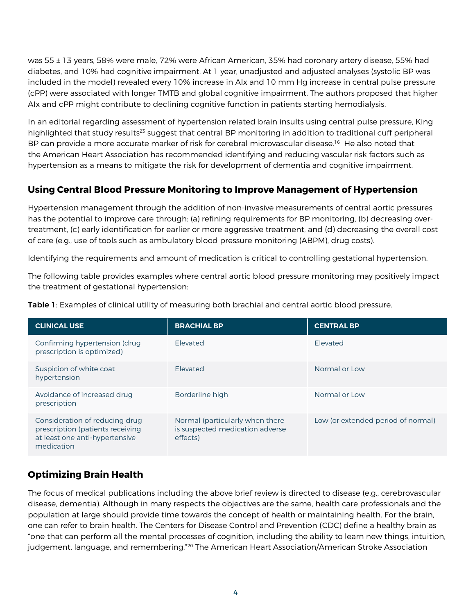was 55 ± 13 years, 58% were male, 72% were African American, 35% had coronary artery disease, 55% had diabetes, and 10% had cognitive impairment. At 1 year, unadjusted and adjusted analyses (systolic BP was included in the model) revealed every 10% increase in AIx and 10 mm Hg increase in central pulse pressure (cPP) were associated with longer TMTB and global cognitive impairment. The authors proposed that higher AIx and cPP might contribute to declining cognitive function in patients starting hemodialysis.

In an editorial regarding assessment of hypertension related brain insults using central pulse pressure, King highlighted that study results<sup>23</sup> suggest that central BP monitoring in addition to traditional cuff peripheral BP can provide a more accurate marker of risk for cerebral microvascular disease.<sup>16</sup> He also noted that the American Heart Association has recommended identifying and reducing vascular risk factors such as hypertension as a means to mitigate the risk for development of dementia and cognitive impairment.

# **Using Central Blood Pressure Monitoring to Improve Management of Hypertension**

Hypertension management through the addition of non-invasive measurements of central aortic pressures has the potential to improve care through: (a) refining requirements for BP monitoring, (b) decreasing overtreatment, (c) early identification for earlier or more aggressive treatment, and (d) decreasing the overall cost of care (e.g., use of tools such as ambulatory blood pressure monitoring (ABPM), drug costs).

Identifying the requirements and amount of medication is critical to controlling gestational hypertension.

The following table provides examples where central aortic blood pressure monitoring may positively impact the treatment of gestational hypertension:

| <b>CLINICAL USE</b>                                                                                                | <b>BRACHIAL BP</b>                                                             | <b>CENTRAL BP</b>                  |
|--------------------------------------------------------------------------------------------------------------------|--------------------------------------------------------------------------------|------------------------------------|
| Confirming hypertension (drug<br>prescription is optimized)                                                        | <b>Flevated</b>                                                                | Elevated                           |
| Suspicion of white coat<br>hypertension                                                                            | <b>Flevated</b>                                                                | Normal or Low                      |
| Avoidance of increased drug<br>prescription                                                                        | Borderline high                                                                | Normal or Low                      |
| Consideration of reducing drug<br>prescription (patients receiving<br>at least one anti-hypertensive<br>medication | Normal (particularly when there<br>is suspected medication adverse<br>effects) | Low (or extended period of normal) |

**Table 1**: Examples of clinical utility of measuring both brachial and central aortic blood pressure.

# **Optimizing Brain Health**

The focus of medical publications including the above brief review is directed to disease (e.g., cerebrovascular disease, dementia). Although in many respects the objectives are the same, health care professionals and the population at large should provide time towards the concept of health or maintaining health. For the brain, one can refer to brain health. The Centers for Disease Control and Prevention (CDC) define a healthy brain as "one that can perform all the mental processes of cognition, including the ability to learn new things, intuition, judgement, language, and remembering."20 The American Heart Association/American Stroke Association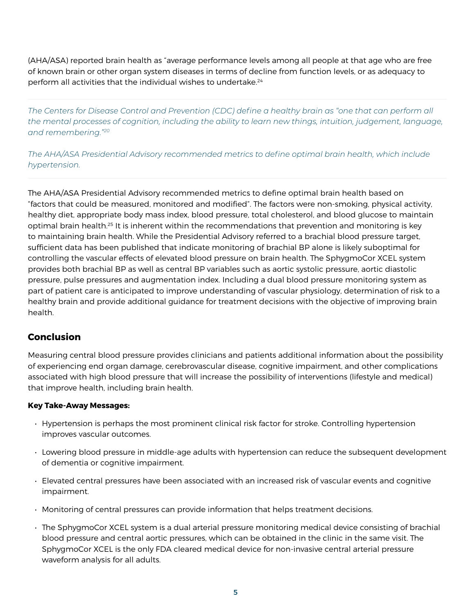(AHA/ASA) reported brain health as "average performance levels among all people at that age who are free of known brain or other organ system diseases in terms of decline from function levels, or as adequacy to perform all activities that the individual wishes to undertake.<sup>24</sup>

*The Centers for Disease Control and Prevention (CDC) define a healthy brain as "one that can perform all the mental processes of cognition, including the ability to learn new things, intuition, judgement, language, and remembering."20*

*The AHA/ASA Presidential Advisory recommended metrics to define optimal brain health, which include hypertension.*

The AHA/ASA Presidential Advisory recommended metrics to define optimal brain health based on "factors that could be measured, monitored and modified". The factors were non-smoking, physical activity, healthy diet, appropriate body mass index, blood pressure, total cholesterol, and blood glucose to maintain optimal brain health.25 It is inherent within the recommendations that prevention and monitoring is key to maintaining brain health. While the Presidential Advisory referred to a brachial blood pressure target, sufficient data has been published that indicate monitoring of brachial BP alone is likely suboptimal for controlling the vascular effects of elevated blood pressure on brain health. The SphygmoCor XCEL system provides both brachial BP as well as central BP variables such as aortic systolic pressure, aortic diastolic pressure, pulse pressures and augmentation index. Including a dual blood pressure monitoring system as part of patient care is anticipated to improve understanding of vascular physiology, determination of risk to a healthy brain and provide additional guidance for treatment decisions with the objective of improving brain health.

## **Conclusion**

Measuring central blood pressure provides clinicians and patients additional information about the possibility of experiencing end organ damage, cerebrovascular disease, cognitive impairment, and other complications associated with high blood pressure that will increase the possibility of interventions (lifestyle and medical) that improve health, including brain health.

#### **Key Take-Away Messages:**

- Hypertension is perhaps the most prominent clinical risk factor for stroke. Controlling hypertension improves vascular outcomes.
- Lowering blood pressure in middle-age adults with hypertension can reduce the subsequent development of dementia or cognitive impairment.
- Elevated central pressures have been associated with an increased risk of vascular events and cognitive impairment.
- Monitoring of central pressures can provide information that helps treatment decisions.
- The SphygmoCor XCEL system is a dual arterial pressure monitoring medical device consisting of brachial blood pressure and central aortic pressures, which can be obtained in the clinic in the same visit. The SphygmoCor XCEL is the only FDA cleared medical device for non-invasive central arterial pressure waveform analysis for all adults.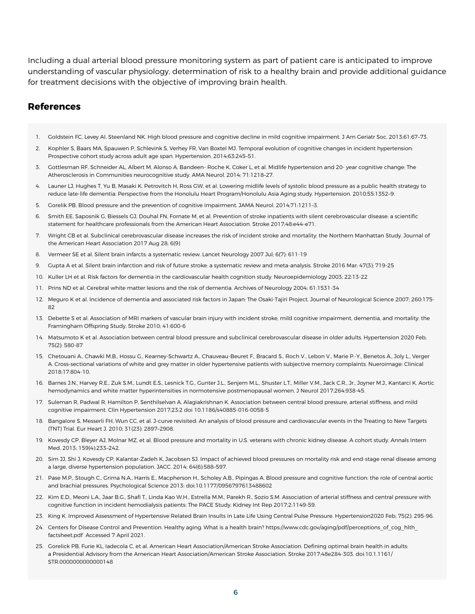Including a dual arterial blood pressure monitoring system as part of patient care is anticipated to improve understanding of vascular physiology, determination of risk to a healthy brain and provide additional guidance for treatment decisions with the objective of improving brain health.

#### **References**

- 1. Goldstein FC, Levey AI, Steenland NK. High blood pressure and cognitive decline in mild cognitive impairment. J Am Geriatr Soc. 2013;61:67–73.
- 2. Kophler S, Baars MA, Spauwen P, Schlevink S, Verhey FR, Van Boxtel MJ. Temporal evolution of cognitive changes in incident hypertension: Prospective cohort study across adult age span. Hypertension. 2014;63:245–51.
- 3. Gottlesman RF, Schneider AL, Albert M, Alonso A, Bandeen- Roche K, Coker L, et al. Midlife hypertension and 20- year cognitive change: The Atherosclerosis in Communities neurocognitive study. AMA Neurol. 2014; 71:1218–27.
- 4. Launer LJ, Hughes T, Yu B, Masaki K, Petrovitch H, Ross GW, et al. Lowering midlife levels of systolic blood pressure as a public health strategy to reduce late-life dementia: Perspective from the Honolulu Heart Program/Honolulu Asia Aging study. Hypertension. 2010;55:1352–9.
- 5. Gorelik PB. Blood pressure and the prevention of cognitive impairment. JAMA Neurol. 2014;71:1211–3.
- 6. Smith EE, Saposnik G, Biessels GJ, Douhal FN, Fornate M, et al. Prevention of stroke inpatients with silent cerebrovascular disease: a scientific statement for healthcare professionals from the American Heart Association. Stroke 2017;48:e44-e71.
- 7. Wright CB et al. Subclinical cerebrovascular disease increases the risk of incident stroke and mortality: the Northern Manhattan Study. Journal of the American Heart Association 2017 Aug 28; 6(9)
- 8. Vermeer SE et al. Silent brain infarcts: a systematic review. Lancet Neurology 2007 Jul; 6(7): 611-19
- 9. Gupta A et al. Silent brain infarction and risk of future stroke: a systematic review and meta-analysis. Stroke 2016 Mar; 47(3): 719-25
- 10. Kuller LH et al. Risk factors for dementia in the cardiovascular health cognition study. Neuroepidemiology 2003; 22:13-22
- 11. Prins ND et al. Cerebral white matter lesions and the risk of dementia. Archives of Neurology 2004; 61:1531-34
- 12. Meguro K et al. Incidence of dementia and associated risk factors in Japan: The Osaki-Tajiri Project. Journal of Neurological Science 2007; 260:175- 82
- 13. Debette S et al. Association of MRI markers of vascular brain injury with incident stroke, mild cognitive impairment, dementia, and mortality: the Framingham Offspring Study. Stroke 2010; 41:600-6
- 14. Matsumoto K et al. Association between central blood pressure and subclinical cerebrovascular disease in older adults. Hypertension 2020 Feb; 75(2): 580-87
- 15. Chetouani A., Chawki M.B., Hossu G., Kearney-Schwartz A., Chauveau-Beuret F., Bracard S., Roch V., Lebon V., Marie P.-Y., Benetos A., Joly L., Verger A. Cross-sectional variations of white and grey matter in older hypertensive patients with subjective memory complaints. Nueroimage: Clinical 2018;17:804-10.
- 16. Barnes J.N., Harvey R.E., Zuk S.M., Lundt E.S., Lesnick T.G., Gunter J.L., Senjem M.L., Shuster L.T., Miller V.M., Jack C.R., Jr., Joyner M.J., Kantarci K. Aortic hemodynamics and white matter hyperintensities in normotensive postmenopausal women. J Neurol 2017;264:938-45.
- 17. Suleman R, Padwal R, Hamilton P, Senthilselvan A, Alagiakrishnan K. Association between central blood pressure, arterial stiffness, and mild cognitive impairment. Clin Hypertension 2017;23:2 doi 10.1186/s40885-016-0058-5
- 18. Bangalore S, Messerli FH, Wun CC, et al. J-curve revisited: An analysis of blood pressure and cardiovascular events in the Treating to New Targets (TNT) Trial. Eur Heart J. 2010; 31(23): 2897–2908.
- 19. Kovesdy CP, Bleyer AJ, Molnar MZ, et al. Blood pressure and mortality in U.S. veterans with chronic kidney disease. A cohort study. Annals Intern Med. 2013; 159(4):233–242.
- 20. Sim JJ, Shi J, Kovesdy CP, Kalantar-Zadeh K, Jacobsen SJ. Impact of achieved blood pressures on mortality risk and end-stage renal disease among a large, diverse hypertension population. JACC. 2014; 64(6):588–597.
- 21. Pase M.P., Stough C., Grima N.A., Harris E., Macpherson H., Scholey A.B., Pipingas A. Blood pressure and cognitive function: the role of central aortic and brachial pressures. Psychological Science 2013: doi:10.1177/0956797613488602
- 22. Kim E.D., Meoni L.A., Jaar B.G., Shafi T., Linda Kao W.H., Estrella M.M., Parekh R., Sozio S.M. Association of arterial stiffness and central pressure with cognitive function in incident hemodialysis patients: The PACE Study. Kidney Int Rep 2017;2:1149-59.
- 23. King K. Improved Assessment of Hypertensive Related Brain Insults in Late Life Using Central Pulse Pressure. Hypertension2020 Feb; 75(2): 295-96.
- 24. Centers for Disease Control and Prevention. Healthy aging. What is a health brain? https://www.cdc.gov/aging/pdf/perceptions\_of\_cog\_hlth factsheet.pdf Accessed 7 April 2021.
- 25. Gorelick PB, Furie KL, Iadecola C, et al. American Heart Association/American Stroke Association. Defining optimal brain health in adults: a Presidential Advisory from the American Heart Association/American Stroke Association. Stroke 2017;48e284-303. doi:10.1.1161/ STR.0000000000000148